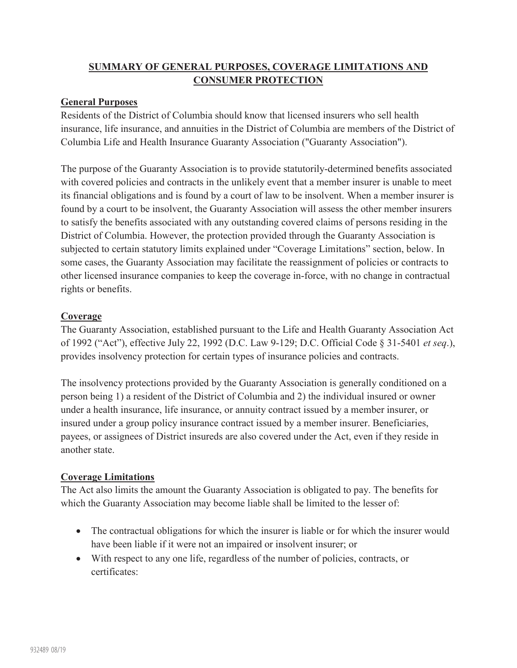## **SUMMARY OF GENERAL PURPOSES, COVERAGE LIMITATIONS AND CONSUMER PROTECTION**

## **General Purposes**

Residents of the District of Columbia should know that licensed insurers who sell health insurance, life insurance, and annuities in the District of Columbia are members of the District of Columbia Life and Health Insurance Guaranty Association ("Guaranty Association").

The purpose of the Guaranty Association is to provide statutorily-determined benefits associated with covered policies and contracts in the unlikely event that a member insurer is unable to meet its financial obligations and is found by a court of law to be insolvent. When a member insurer is found by a court to be insolvent, the Guaranty Association will assess the other member insurers to satisfy the benefits associated with any outstanding covered claims of persons residing in the District of Columbia. However, the protection provided through the Guaranty Association is subjected to certain statutory limits explained under "Coverage Limitations" section, below. In some cases, the Guaranty Association may facilitate the reassignment of policies or contracts to other licensed insurance companies to keep the coverage in-force, with no change in contractual rights or benefits.

## **Coverage**

The Guaranty Association, established pursuant to the Life and Health Guaranty Association Act of 1992 ("Act"), effective July 22, 1992 (D.C. Law 9-129; D.C. Official Code § 31-5401 *et seq*.), provides insolvency protection for certain types of insurance policies and contracts.

The insolvency protections provided by the Guaranty Association is generally conditioned on a person being 1) a resident of the District of Columbia and 2) the individual insured or owner under a health insurance, life insurance, or annuity contract issued by a member insurer, or insured under a group policy insurance contract issued by a member insurer. Beneficiaries, payees, or assignees of District insureds are also covered under the Act, even if they reside in another state.

## **Coverage Limitations**

The Act also limits the amount the Guaranty Association is obligated to pay. The benefits for which the Guaranty Association may become liable shall be limited to the lesser of:

- The contractual obligations for which the insurer is liable or for which the insurer would have been liable if it were not an impaired or insolvent insurer; or
- With respect to any one life, regardless of the number of policies, contracts, or certificates: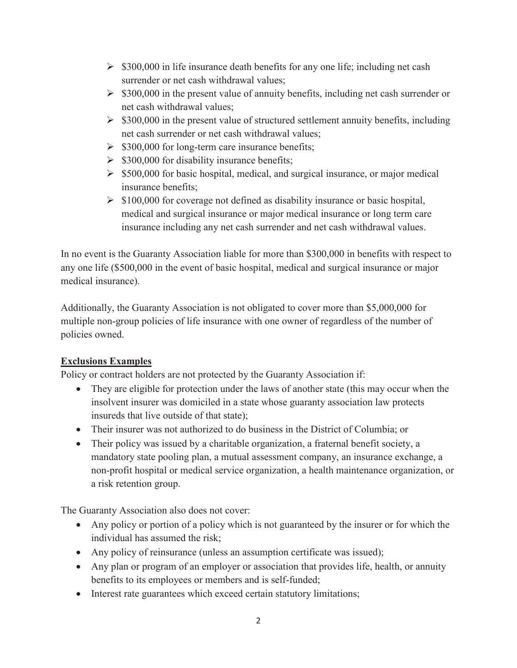- $\geq$  \$300,000 in life insurance death benefits for any one life; including net cash surrender or net cash withdrawal values;
- $\geq$  \$300,000 in the present value of annuity benefits, including net cash surrender or net cash withdrawal values;
- $\geq$  \$300,000 in the present value of structured settlement annuity benefits, including net cash surrender or net cash withdrawal values;
- $\geq$  \$300,000 for long-term care insurance benefits;
- $\geq$  \$300,000 for disability insurance benefits;
- $\geq$  \$500,000 for basic hospital, medical, and surgical insurance, or major medical insurance benefits;
- $\triangleright$  \$100,000 for coverage not defined as disability insurance or basic hospital, medical and surgical insurance or major medical insurance or long term care insurance including any net cash surrender and net cash withdrawal values.

In no event is the Guaranty Association liable for more than \$300,000 in benefits with respect to any one life (\$500,000 in the event of basic hospital, medical and surgical insurance or major medical insurance).

Additionally, the Guaranty Association is not obligated to cover more than \$5,000,000 for multiple non-group policies of life insurance with one owner of regardless of the number of policies owned.

# **Exclusions Examples**

Policy or contract holders are not protected by the Guaranty Association if:

- They are eligible for protection under the laws of another state (this may occur when the insolvent insurer was domiciled in a state whose guaranty association law protects insureds that live outside of that state);
- Their insurer was not authorized to do business in the District of Columbia; or
- Their policy was issued by a charitable organization, a fraternal benefit society, a mandatory state pooling plan, a mutual assessment company, an insurance exchange, a non-profit hospital or medical service organization, a health maintenance organization, or a risk retention group.

The Guaranty Association also does not cover:

- Any policy or portion of a policy which is not guaranteed by the insurer or for which the individual has assumed the risk;
- Any policy of reinsurance (unless an assumption certificate was issued);
- Any plan or program of an employer or association that provides life, health, or annuity benefits to its employees or members and is self-funded;
- Interest rate guarantees which exceed certain statutory limitations;